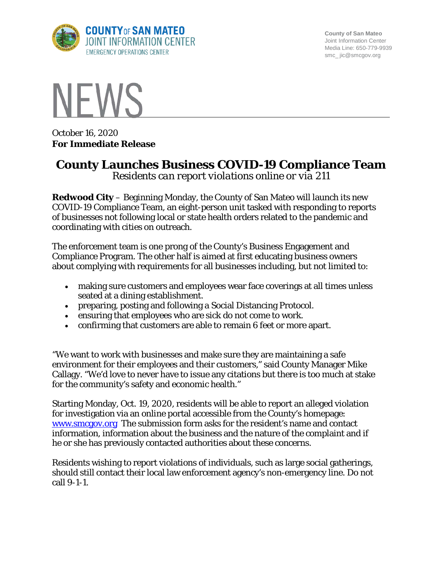

**County of San Mateo** Joint Information Center Media Line: 650-779-9939 smc\_ jic@smcgov.org



October 16, 2020 **For Immediate Release**

## **County Launches Business COVID-19 Compliance Team**

*Residents can report violations online or via 211*

**Redwood City** – Beginning Monday, the County of San Mateo will launch its new COVID-19 Compliance Team, an eight-person unit tasked with responding to reports of businesses not following local or state health orders related to the pandemic and coordinating with cities on outreach.

The enforcement team is one prong of the County's Business Engagement and Compliance Program. The other half is aimed at first educating business owners about complying with requirements for all businesses including, but not limited to:

- making sure customers and employees wear face coverings at all times unless seated at a dining establishment.
- preparing, posting and following a Social Distancing Protocol.
- ensuring that employees who are sick do not come to work.
- confirming that customers are able to remain 6 feet or more apart.

"We want to work with businesses and make sure they are maintaining a safe environment for their employees and their customers," said County Manager Mike Callagy. "We'd love to never have to issue any citations but there is too much at stake for the community's safety and economic health."

Starting Monday, Oct. 19, 2020, residents will be able to report an alleged violation for investigation via an online portal accessible from the County's homepage: [www.smcgov.org](http://www.smcgov.org/) The submission form asks for the resident's name and contact information, information about the business and the nature of the complaint and if he or she has previously contacted authorities about these concerns.

Residents wishing to report violations of individuals, such as large social gatherings, should still contact their local law enforcement agency's non-emergency line. Do not call 9-1-1.